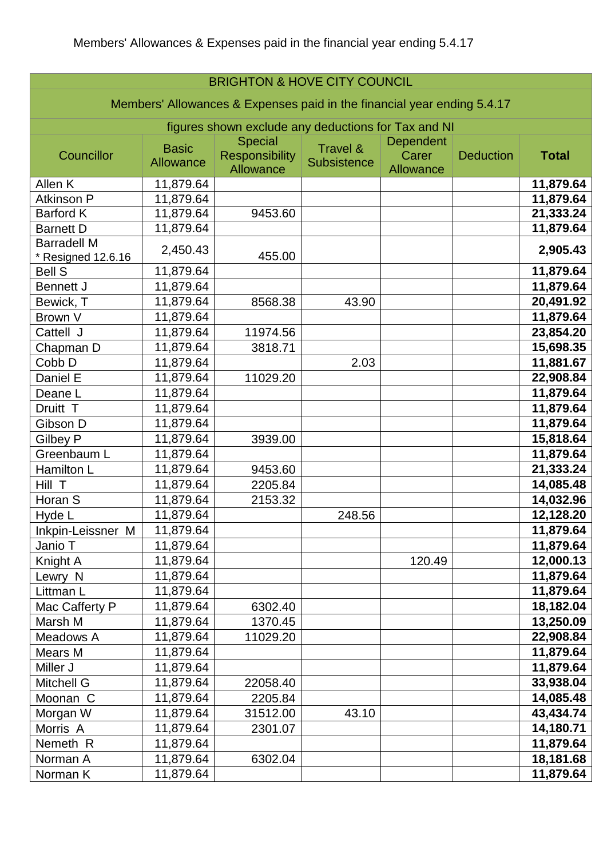| <b>BRIGHTON &amp; HOVE CITY COUNCIL</b>                                 |                                  |                                                      |                                |                                 |                  |              |
|-------------------------------------------------------------------------|----------------------------------|------------------------------------------------------|--------------------------------|---------------------------------|------------------|--------------|
| Members' Allowances & Expenses paid in the financial year ending 5.4.17 |                                  |                                                      |                                |                                 |                  |              |
| figures shown exclude any deductions for Tax and NI                     |                                  |                                                      |                                |                                 |                  |              |
| Councillor                                                              | <b>Basic</b><br><b>Allowance</b> | <b>Special</b><br><b>Responsibility</b><br>Allowance | Travel &<br><b>Subsistence</b> | Dependent<br>Carer<br>Allowance | <b>Deduction</b> | <b>Total</b> |
| Allen K                                                                 | 11,879.64                        |                                                      |                                |                                 |                  | 11,879.64    |
| <b>Atkinson P</b>                                                       | 11,879.64                        |                                                      |                                |                                 |                  | 11,879.64    |
| <b>Barford K</b>                                                        | 11,879.64                        | 9453.60                                              |                                |                                 |                  | 21,333.24    |
| <b>Barnett D</b>                                                        | 11,879.64                        |                                                      |                                |                                 |                  | 11,879.64    |
| <b>Barradell M</b><br>Resigned 12.6.16                                  | 2,450.43                         | 455.00                                               |                                |                                 |                  | 2,905.43     |
| <b>Bell S</b>                                                           | 11,879.64                        |                                                      |                                |                                 |                  | 11,879.64    |
| <b>Bennett J</b>                                                        | 11,879.64                        |                                                      |                                |                                 |                  | 11,879.64    |
| Bewick, T                                                               | 11,879.64                        | 8568.38                                              | 43.90                          |                                 |                  | 20,491.92    |
| Brown V                                                                 | 11,879.64                        |                                                      |                                |                                 |                  | 11,879.64    |
| Cattell J                                                               | 11,879.64                        | 11974.56                                             |                                |                                 |                  | 23,854.20    |
| Chapman D                                                               | 11,879.64                        | 3818.71                                              |                                |                                 |                  | 15,698.35    |
| Cobb D                                                                  | 11,879.64                        |                                                      | 2.03                           |                                 |                  | 11,881.67    |
| Daniel E                                                                | 11,879.64                        | 11029.20                                             |                                |                                 |                  | 22,908.84    |
| Deane L                                                                 | 11,879.64                        |                                                      |                                |                                 |                  | 11,879.64    |
| Druitt T                                                                | 11,879.64                        |                                                      |                                |                                 |                  | 11,879.64    |
| Gibson D                                                                | 11,879.64                        |                                                      |                                |                                 |                  | 11,879.64    |
| Gilbey P                                                                | 11,879.64                        | 3939.00                                              |                                |                                 |                  | 15,818.64    |
| Greenbaum L                                                             | 11,879.64                        |                                                      |                                |                                 |                  | 11,879.64    |
| Hamilton L                                                              | 11,879.64                        | 9453.60                                              |                                |                                 |                  | 21,333.24    |
| Hill T                                                                  | 11,879.64                        | 2205.84                                              |                                |                                 |                  | 14,085.48    |
| Horan S                                                                 | 11,879.64                        | 2153.32                                              |                                |                                 |                  | 14,032.96    |
| Hyde L                                                                  | 11,879.64                        |                                                      | 248.56                         |                                 |                  | 12,128.20    |
| Inkpin-Leissner M                                                       | 11,879.64                        |                                                      |                                |                                 |                  | 11,879.64    |
| Janio T                                                                 | 11,879.64                        |                                                      |                                |                                 |                  | 11,879.64    |
| Knight A                                                                | 11,879.64                        |                                                      |                                | 120.49                          |                  | 12,000.13    |
| Lewry N                                                                 | 11,879.64                        |                                                      |                                |                                 |                  | 11,879.64    |
| Littman L                                                               | 11,879.64                        |                                                      |                                |                                 |                  | 11,879.64    |
| Mac Cafferty P                                                          | 11,879.64                        | 6302.40                                              |                                |                                 |                  | 18,182.04    |
| Marsh M                                                                 | 11,879.64                        | 1370.45                                              |                                |                                 |                  | 13,250.09    |
| Meadows A                                                               | 11,879.64                        | 11029.20                                             |                                |                                 |                  | 22,908.84    |
| Mears M                                                                 | 11,879.64                        |                                                      |                                |                                 |                  | 11,879.64    |
| Miller J                                                                | 11,879.64                        |                                                      |                                |                                 |                  | 11,879.64    |
| <b>Mitchell G</b>                                                       | 11,879.64                        | 22058.40                                             |                                |                                 |                  | 33,938.04    |
| Moonan C                                                                | 11,879.64                        | 2205.84                                              |                                |                                 |                  | 14,085.48    |
| Morgan W                                                                | 11,879.64                        | 31512.00                                             | 43.10                          |                                 |                  | 43,434.74    |
| Morris A                                                                | 11,879.64                        | 2301.07                                              |                                |                                 |                  | 14,180.71    |
| Nemeth R                                                                | 11,879.64                        |                                                      |                                |                                 |                  | 11,879.64    |
| Norman A                                                                | 11,879.64                        | 6302.04                                              |                                |                                 |                  | 18,181.68    |
| Norman K                                                                | 11,879.64                        |                                                      |                                |                                 |                  | 11,879.64    |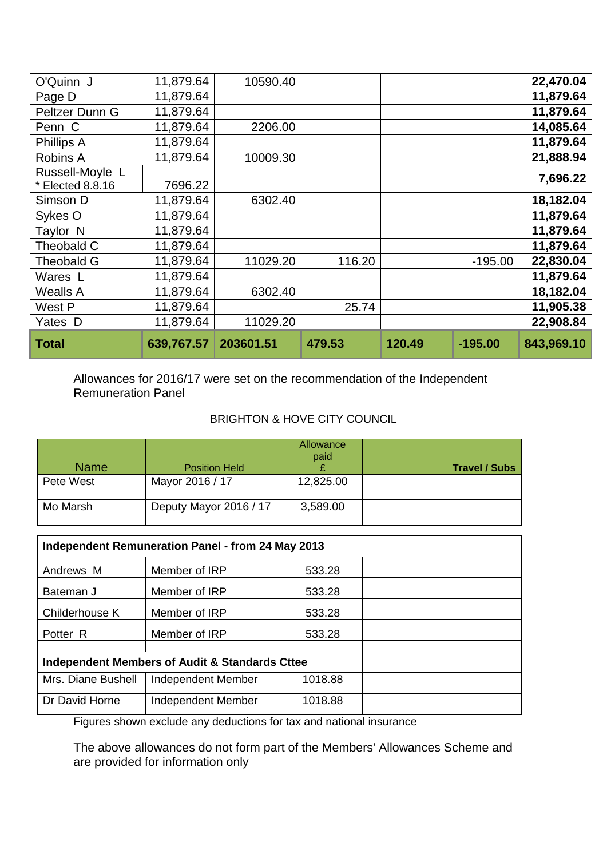| O'Quinn J                             | 11,879.64  | 10590.40  |        |        |           | 22,470.04  |
|---------------------------------------|------------|-----------|--------|--------|-----------|------------|
| Page D                                | 11,879.64  |           |        |        |           | 11,879.64  |
| Peltzer Dunn G                        | 11,879.64  |           |        |        |           | 11,879.64  |
| Penn C                                | 11,879.64  | 2206.00   |        |        |           | 14,085.64  |
| Phillips A                            | 11,879.64  |           |        |        |           | 11,879.64  |
| Robins A                              | 11,879.64  | 10009.30  |        |        |           | 21,888.94  |
| Russell-Moyle L<br>$*$ Elected 8.8.16 | 7696.22    |           |        |        |           | 7,696.22   |
| Simson D                              | 11,879.64  | 6302.40   |        |        |           | 18,182.04  |
| Sykes O                               | 11,879.64  |           |        |        |           | 11,879.64  |
| Taylor N                              | 11,879.64  |           |        |        |           | 11,879.64  |
| Theobald C                            | 11,879.64  |           |        |        |           | 11,879.64  |
| <b>Theobald G</b>                     | 11,879.64  | 11029.20  | 116.20 |        | $-195.00$ | 22,830.04  |
| Wares L                               | 11,879.64  |           |        |        |           | 11,879.64  |
| <b>Wealls A</b>                       | 11,879.64  | 6302.40   |        |        |           | 18,182.04  |
| West P                                | 11,879.64  |           | 25.74  |        |           | 11,905.38  |
| Yates D                               | 11,879.64  | 11029.20  |        |        |           | 22,908.84  |
| <b>Total</b>                          | 639,767.57 | 203601.51 | 479.53 | 120.49 | $-195.00$ | 843,969.10 |

Allowances for 2016/17 were set on the recommendation of the Independent Remuneration Panel

## BRIGHTON & HOVE CITY COUNCIL

| <b>Name</b> | <b>Position Held</b>   | Allowance<br>paid | <b>Travel / Subs</b> |
|-------------|------------------------|-------------------|----------------------|
| Pete West   | Mayor 2016 / 17        | 12,825.00         |                      |
| Mo Marsh    | Deputy Mayor 2016 / 17 | 3,589.00          |                      |

| Independent Remuneration Panel - from 24 May 2013 |                    |         |  |  |  |
|---------------------------------------------------|--------------------|---------|--|--|--|
| Andrews M                                         | Member of IRP      | 533.28  |  |  |  |
| Bateman J                                         | Member of IRP      | 533.28  |  |  |  |
| Childerhouse K                                    | Member of IRP      | 533.28  |  |  |  |
| Potter R                                          | Member of IRP      | 533.28  |  |  |  |
|                                                   |                    |         |  |  |  |
| Independent Members of Audit & Standards Cttee    |                    |         |  |  |  |
| Mrs. Diane Bushell                                | Independent Member | 1018.88 |  |  |  |
| Dr David Horne                                    | Independent Member | 1018.88 |  |  |  |

Figures shown exclude any deductions for tax and national insurance

The above allowances do not form part of the Members' Allowances Scheme and are provided for information only